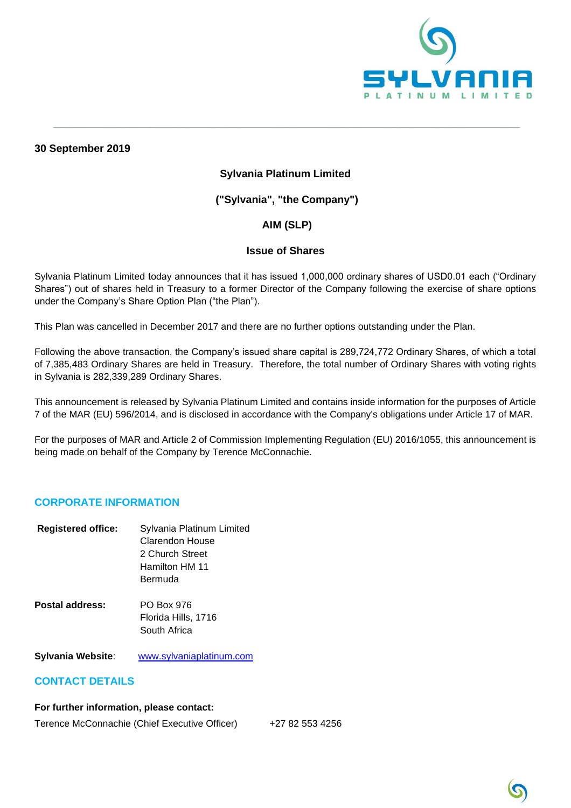

**30 September 2019**

### **Sylvania Platinum Limited**

**\_\_\_\_\_\_\_\_\_\_\_\_\_\_\_\_\_\_\_\_\_\_\_\_\_\_\_\_\_\_\_\_\_\_\_\_\_\_\_\_\_\_\_\_\_\_\_\_\_\_\_\_\_\_\_\_\_\_\_\_\_\_\_\_\_\_\_\_\_\_\_\_\_\_\_\_\_\_\_\_\_\_\_\_\_\_\_\_\_\_\_\_\_\_\_\_\_\_\_\_\_\_\_\_\_\_\_\_\_\_\_\_\_\_\_\_\_\_\_\_\_\_\_\_\_**

## **("Sylvania", "the Company")**

# **AIM (SLP)**

#### **Issue of Shares**

Sylvania Platinum Limited today announces that it has issued 1,000,000 ordinary shares of USD0.01 each ("Ordinary Shares") out of shares held in Treasury to a former Director of the Company following the exercise of share options under the Company's Share Option Plan ("the Plan").

This Plan was cancelled in December 2017 and there are no further options outstanding under the Plan.

Following the above transaction, the Company's issued share capital is 289,724,772 Ordinary Shares, of which a total of 7,385,483 Ordinary Shares are held in Treasury. Therefore, the total number of Ordinary Shares with voting rights in Sylvania is 282,339,289 Ordinary Shares.

This announcement is released by Sylvania Platinum Limited and contains inside information for the purposes of Article 7 of the MAR (EU) 596/2014, and is disclosed in accordance with the Company's obligations under Article 17 of MAR.

For the purposes of MAR and Article 2 of Commission Implementing Regulation (EU) 2016/1055, this announcement is being made on behalf of the Company by Terence McConnachie.

#### **CORPORATE INFORMATION**

| <b>Registered office:</b> | Sylvania Platinum Limited<br>Clarendon House<br>2 Church Street<br>Hamilton HM 11<br>Bermuda |
|---------------------------|----------------------------------------------------------------------------------------------|
| Postal address:           | PO Box 976<br>Florida Hills, 1716<br>South Africa                                            |

**Sylvania Website**: [www.sylvaniaplatinum.com](http://www.sylvaniaplatinum.com/)

#### **CONTACT DETAILS**

#### **For further information, please contact:**

Terence McConnachie (Chief Executive Officer) +27 82 553 4256